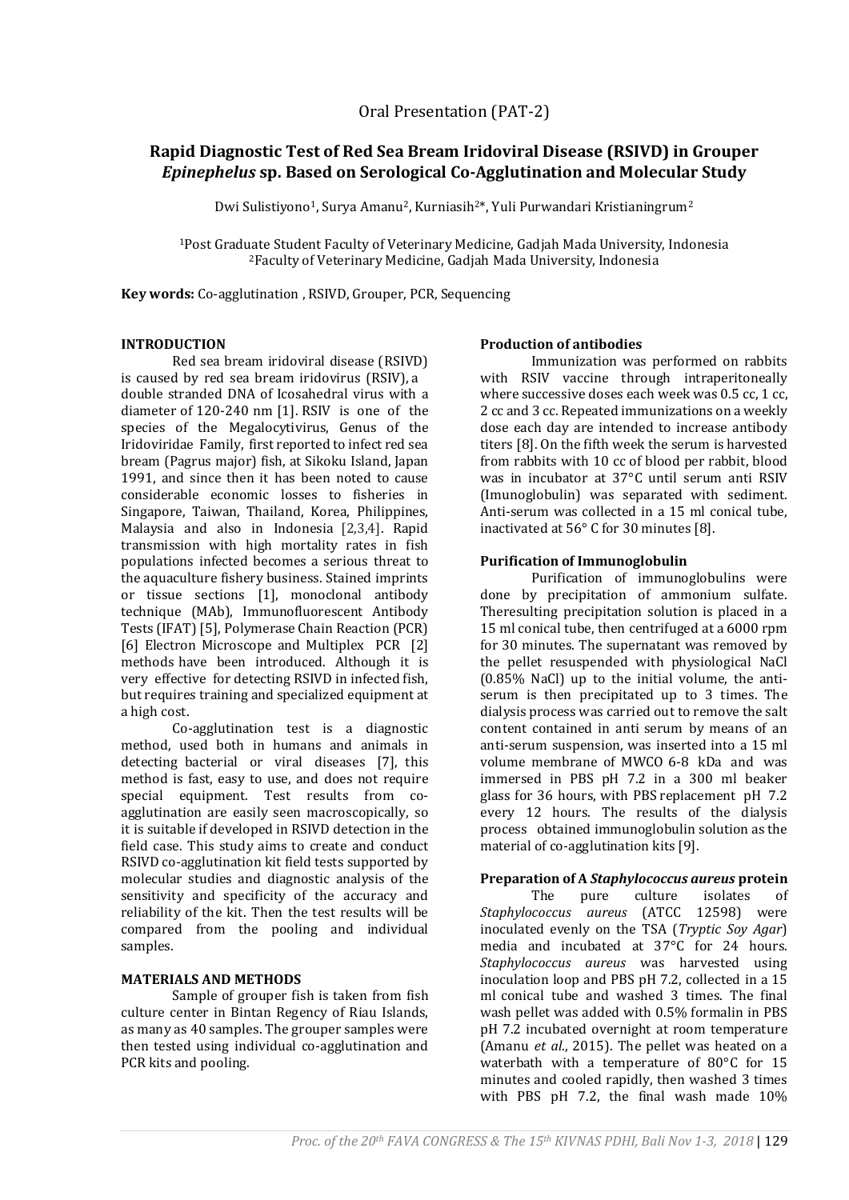# **Rapid Diagnostic Test of Red Sea Bream Iridoviral Disease (RSIVD) in Grouper** *Epinephelus* **sp. Based on Serological Co-Agglutination and Molecular Study**

Dwi Sulistiyono1, Surya Amanu2, Kurniasih2\*, Yuli Purwandari Kristianingrum<sup>2</sup>

<sup>1</sup>Post Graduate Student Faculty of Veterinary Medicine, Gadjah Mada University, Indonesia <sup>2</sup>Faculty of Veterinary Medicine, Gadjah Mada University, Indonesia

**Key words:** Co-agglutination , RSIVD, Grouper, PCR, Sequencing

# **INTRODUCTION**

Red sea bream iridoviral disease (RSIVD) is caused by red sea bream iridovirus (RSIV), a double stranded DNA of Icosahedral virus with a diameter of 120-240 nm [1]. RSIV is one of the species of the Megalocytivirus, Genus of the Iridoviridae Family, first reported to infect red sea bream (Pagrus major) fish, at Sikoku Island, Japan 1991, and since then it has been noted to cause considerable economic losses to fisheries in Singapore, Taiwan, Thailand, Korea, Philippines, Malaysia and also in Indonesia [2,3,4]. Rapid transmission with high mortality rates in fish populations infected becomes a serious threat to the aquaculture fishery business. Stained imprints or tissue sections [1], monoclonal antibody technique (MAb), Immunofluorescent Antibody Tests (IFAT) [5], Polymerase Chain Reaction (PCR) [6] Electron Microscope and Multiplex PCR [2] methods have been introduced. Although it is very effective for detecting RSIVD in infected fish, but requires training and specialized equipment at a high cost.

Co-agglutination test is a diagnostic method, used both in humans and animals in detecting bacterial or viral diseases [7], this method is fast, easy to use, and does not require special equipment. Test results from coagglutination are easily seen macroscopically, so it is suitable if developed in RSIVD detection in the field case. This study aims to create and conduct RSIVD co-agglutination kit field tests supported by molecular studies and diagnostic analysis of the sensitivity and specificity of the accuracy and reliability of the kit. Then the test results will be compared from the pooling and individual samples.

# **MATERIALS AND METHODS**

Sample of grouper fish is taken from fish culture center in Bintan Regency of Riau Islands, as many as 40 samples. The grouper samples were then tested using individual co-agglutination and PCR kits and pooling.

### **Production of antibodies**

Immunization was performed on rabbits with RSIV vaccine through intraperitoneally where successive doses each week was 0.5 cc, 1 cc, 2 cc and 3 cc. Repeated immunizations on a weekly dose each day are intended to increase antibody titers [8]. On the fifth week the serum is harvested from rabbits with 10 cc of blood per rabbit, blood was in incubator at 37°C until serum anti RSIV (Imunoglobulin) was separated with sediment. Anti-serum was collected in a 15 ml conical tube, inactivated at 56° C for 30 minutes [8].

### **Purification of Immunoglobulin**

Purification of immunoglobulins were done by precipitation of ammonium sulfate. Theresulting precipitation solution is placed in a 15 ml conical tube, then centrifuged at a 6000 rpm for 30 minutes. The supernatant was removed by the pellet resuspended with physiological NaCl (0.85% NaCl) up to the initial volume, the antiserum is then precipitated up to 3 times. The dialysis process was carried out to remove the salt content contained in anti serum by means of an anti-serum suspension, was inserted into a 15 ml volume membrane of MWCO 6-8 kDa and was immersed in PBS pH 7.2 in a 300 ml beaker glass for 36 hours, with PBS replacement pH 7.2 every 12 hours. The results of the dialysis process obtained immunoglobulin solution as the material of co-agglutination kits [9].

# **Preparation of A** *Staphylococcus aureus* **protein**

The pure culture isolates of *Staphylococcus aureus* (ATCC 12598) were inoculated evenly on the TSA (*Tryptic Soy Agar*) media and incubated at 37°C for 24 hours. *Staphylococcus aureus* was harvested using inoculation loop and PBS pH 7.2, collected in a 15 ml conical tube and washed 3 times. The final wash pellet was added with 0.5% formalin in PBS pH 7.2 incubated overnight at room temperature (Amanu *et al*., 2015). The pellet was heated on a waterbath with a temperature of 80°C for 15 minutes and cooled rapidly, then washed 3 times with PBS pH 7.2, the final wash made 10%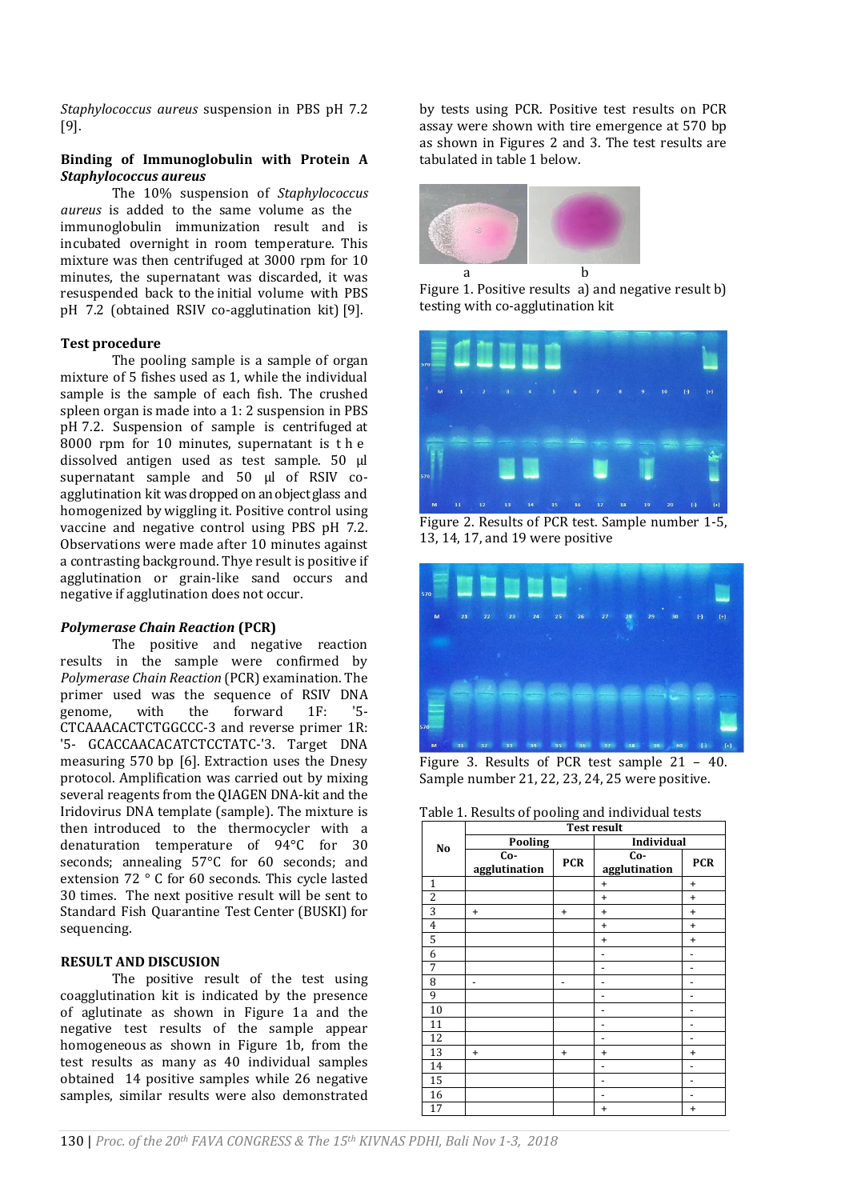*Staphylococcus aureus* suspension in PBS pH 7.2 [9].

### **Binding of Immunoglobulin with Protein A** *Staphylococcus aureus*

The 10% suspension of *Staphylococcus aureus* is added to the same volume as the immunoglobulin immunization result and is incubated overnight in room temperature. This mixture was then centrifuged at 3000 rpm for 10 minutes, the supernatant was discarded, it was resuspended back to the initial volume with PBS pH 7.2 (obtained RSIV co-agglutination kit) [9].

#### **Test procedure**

The pooling sample is a sample of organ mixture of 5 fishes used as 1, while the individual sample is the sample of each fish. The crushed spleen organ is made into a 1: 2 suspension in PBS pH 7.2. Suspension of sample is centrifuged at 8000 rpm for 10 minutes, supernatant is t h e dissolved antigen used as test sample. 50 μl supernatant sample and 50 μl of RSIV coagglutination kit was dropped on an object glass and homogenized by wiggling it. Positive control using vaccine and negative control using PBS pH 7.2. Observations were made after 10 minutes against a contrasting background. Thye result is positive if agglutination or grain-like sand occurs and negative if agglutination does not occur.

# *Polymerase Chain Reaction* **(PCR)**

The positive and negative reaction results in the sample were confirmed by *Polymerase Chain Reaction* (PCR) examination. The primer used was the sequence of RSIV DNA genome, with the forward 1F: '5- CTCAAACACTCTGGCCC-3 and reverse primer 1R: '5- GCACCAACACATCTCCTATC-'3. Target DNA measuring 570 bp [6]. Extraction uses the Dnesy protocol. Amplification was carried out by mixing several reagents from the QIAGEN DNA-kit and the Iridovirus DNA template (sample). The mixture is then introduced to the thermocycler with a denaturation temperature of 94°C for 30 seconds; annealing 57°C for 60 seconds; and extension 72 ° C for 60 seconds. This cycle lasted 30 times. The next positive result will be sent to Standard Fish Quarantine Test Center (BUSKI) for sequencing.

#### **RESULT AND DISCUSION**

The positive result of the test using coagglutination kit is indicated by the presence of aglutinate as shown in Figure 1a and the negative test results of the sample appear homogeneous as shown in Figure 1b, from the test results as many as 40 individual samples obtained 14 positive samples while 26 negative samples, similar results were also demonstrated by tests using PCR. Positive test results on PCR assay were shown with tire emergence at 570 bp as shown in Figures 2 and 3. The test results are tabulated in table 1 below.



Figure 1. Positive results a) and negative result b) testing with co-agglutination kit



Figure 2. Results of PCR test. Sample number 1-5, 13, 14, 17, and 19 were positive



Figure 3. Results of PCR test sample 21 – 40. Sample number 21, 22, 23, 24, 25 were positive.

|  | Table 1. Results of pooling and individual tests |  |  |  |
|--|--------------------------------------------------|--|--|--|
|  |                                                  |  |  |  |

|                | <b>Test result</b>       |                          |                      |                |  |  |
|----------------|--------------------------|--------------------------|----------------------|----------------|--|--|
| No             | Pooling                  |                          | Individual           |                |  |  |
|                | Co-<br>agglutination     | <b>PCR</b>               | Co-<br>agglutination | <b>PCR</b>     |  |  |
| 1              |                          |                          | $\ddot{}$            | $\ddot{}$      |  |  |
| 2              |                          |                          | $\ddot{}$            | $\ddot{}$      |  |  |
| $\overline{3}$ | $\ddot{}$                | $\ddot{}$                | $\ddot{}$            | $\ddot{}$      |  |  |
| $\overline{4}$ |                          |                          | $\ddot{}$            | $\ddot{}$      |  |  |
| 5              |                          |                          | $\ddot{}$            | $\ddot{}$      |  |  |
| 6              |                          |                          |                      |                |  |  |
| 7              |                          |                          | -                    |                |  |  |
| 8              | $\overline{\phantom{0}}$ | $\overline{\phantom{a}}$ | $\overline{a}$       | $\overline{a}$ |  |  |
| 9              |                          |                          |                      |                |  |  |
| 10             |                          |                          |                      |                |  |  |
| 11             |                          |                          |                      |                |  |  |
| 12             |                          |                          | $\overline{a}$       |                |  |  |
| 13             | $\ddot{}$                | $\ddot{}$                | $\ddot{}$            | $\ddot{}$      |  |  |
| 14             |                          |                          | $\overline{a}$       |                |  |  |
| 15             |                          |                          |                      |                |  |  |
| 16             |                          |                          |                      |                |  |  |
| 17             |                          |                          | $\ddot{}$            | $\ddot{}$      |  |  |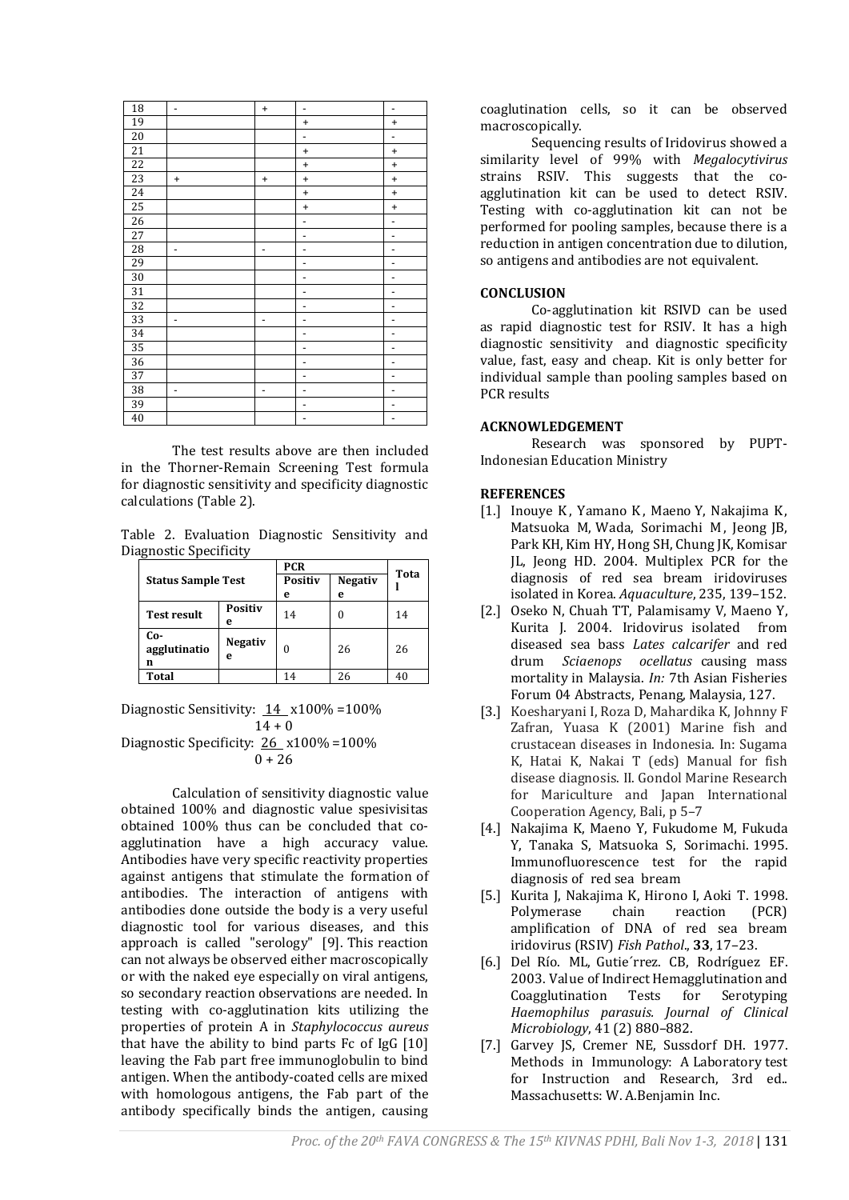| 18              | $\overline{\phantom{a}}$         | $\ddot{}$                | $\overline{\phantom{a}}$     | $\overline{\phantom{a}}$         |
|-----------------|----------------------------------|--------------------------|------------------------------|----------------------------------|
| 19              |                                  |                          | $\ddot{}$                    | $\begin{array}{c} + \end{array}$ |
| 20              |                                  |                          | $\overline{\phantom{a}}$     | $\overline{\phantom{a}}$         |
| 21              |                                  |                          | $\ddot{}$                    | $\begin{array}{c} + \end{array}$ |
| 22              |                                  |                          | $\ddot{}$                    | $\begin{array}{c} + \end{array}$ |
| 23              | $\begin{array}{c} + \end{array}$ | $\ddot{}$                | $\ddot{}$                    | $\ddot{}$                        |
| 24              |                                  |                          | $\ddot{}$                    | $\ddot{}$                        |
| 25              |                                  |                          | $\ddot{}$                    | $\ddot{}$                        |
| 26              |                                  |                          | $\blacksquare$               | $\frac{1}{2}$                    |
| $\overline{27}$ |                                  |                          | $\overline{\phantom{0}}$     | $\overline{a}$                   |
| 28              | $\frac{1}{2}$                    | $\overline{\phantom{a}}$ | $\overline{\phantom{a}}$     | $\overline{\phantom{a}}$         |
| 29              |                                  |                          | $\overline{a}$               | $\frac{1}{2}$                    |
| 30              |                                  |                          | $\overline{\phantom{0}}$     | -                                |
| 31              |                                  |                          | -                            | $\qquad \qquad \blacksquare$     |
| 32              |                                  |                          | $\overline{\phantom{a}}$     | -                                |
| 33              | $\overline{\phantom{a}}$         | $\overline{\phantom{a}}$ | $\qquad \qquad \blacksquare$ | $\overline{a}$                   |
| 34              |                                  |                          | $\overline{\phantom{a}}$     | $\overline{a}$                   |
| 35              |                                  |                          | $\overline{\phantom{0}}$     | $\overline{\phantom{0}}$         |
| 36              |                                  |                          | $\overline{\phantom{a}}$     | $\overline{a}$                   |
| 37              |                                  |                          | $\overline{\phantom{a}}$     | $\overline{a}$                   |
| 38              | $\frac{1}{2}$                    | $\overline{\phantom{a}}$ | $\overline{\phantom{a}}$     | $\overline{a}$                   |
| 39              |                                  |                          | $\overline{\phantom{0}}$     | $\overline{a}$                   |
| 40              |                                  |                          | -                            | $\overline{a}$                   |
|                 |                                  |                          |                              |                                  |

The test results above are then included in the Thorner-Remain Screening Test formula for diagnostic sensitivity and specificity diagnostic calculations (Table 2).

Table 2. Evaluation Diagnostic Sensitivity and Diagnostic Specificity

|                           |                     | <b>PCR</b>     | Tota           |    |  |
|---------------------------|---------------------|----------------|----------------|----|--|
| <b>Status Sample Test</b> |                     | <b>Positiv</b> | <b>Negativ</b> |    |  |
|                           |                     | е              | е              |    |  |
| <b>Test result</b>        | <b>Positiv</b><br>е | 14             |                | 14 |  |
| Co-<br>agglutinatio<br>n  | <b>Negativ</b><br>е | 0              | 26             | 26 |  |
| <b>Total</b>              |                     | 14             | 26             | 40 |  |

Diagnostic Sensitivity: 14 x100% =100%  $14 + 0$ 

Diagnostic Specificity: 26 x100% =100%  $0 + 26$ 

Calculation of sensitivity diagnostic value obtained 100% and diagnostic value spesivisitas obtained 100% thus can be concluded that coagglutination have a high accuracy value. Antibodies have very specific reactivity properties against antigens that stimulate the formation of antibodies. The interaction of antigens with antibodies done outside the body is a very useful diagnostic tool for various diseases, and this approach is called "serology" [9]. This reaction can not always be observed either macroscopically or with the naked eye especially on viral antigens, so secondary reaction observations are needed. In testing with co-agglutination kits utilizing the properties of protein A in *Staphylococcus aureus*  that have the ability to bind parts Fc of IgG [10] leaving the Fab part free immunoglobulin to bind antigen. When the antibody-coated cells are mixed with homologous antigens, the Fab part of the antibody specifically binds the antigen, causing

coaglutination cells, so it can be observed macroscopically.

Sequencing results of Iridovirus showed a similarity level of 99% with *Megalocytivirus*  strains RSIV. This suggests that the coagglutination kit can be used to detect RSIV. Testing with co-agglutination kit can not be performed for pooling samples, because there is a reduction in antigen concentration due to dilution, so antigens and antibodies are not equivalent.

### **CONCLUSION**

Co-agglutination kit RSIVD can be used as rapid diagnostic test for RSIV. It has a high diagnostic sensitivity and diagnostic specificity value, fast, easy and cheap. Kit is only better for individual sample than pooling samples based on PCR results

# **ACKNOWLEDGEMENT**

Research was sponsored by PUPT-Indonesian Education Ministry

# **REFERENCES**

- [1.] Inouye K, Yamano K, Maeno Y, Nakajima K, Matsuoka M, Wada, Sorimachi M, Jeong JB, Park KH, Kim HY, Hong SH, Chung JK, Komisar JL, Jeong HD. 2004. Multiplex PCR for the diagnosis of red sea bream iridoviruses isolated in Korea. *Aquaculture*, 235, 139–152.
- [2.] Oseko N, Chuah TT, Palamisamy V, Maeno Y, Kurita J. 2004. Iridovirus isolated from diseased sea bass *Lates calcarifer* and red drum *Sciaenops ocellatus* causing mass mortality in Malaysia. *In:* 7th Asian Fisheries Forum 04 Abstracts, Penang, Malaysia, 127.
- [3.] Koesharyani I, Roza D, Mahardika K, Johnny F Zafran, Yuasa K (2001) Marine fish and crustacean diseases in Indonesia. In: Sugama K, Hatai K, Nakai T (eds) Manual for fish disease diagnosis. II. Gondol Marine Research for Mariculture and Japan International Cooperation Agency, Bali, p 5–7
- [4.] Nakajima K, Maeno Y, Fukudome M, Fukuda Y, Tanaka S, Matsuoka S, Sorimachi. 1995. Immunofluorescence test for the rapid diagnosis of red sea bream
- [5.] Kurita J, Nakajima K, Hirono I, Aoki T. 1998. Polymerase chain reaction (PCR) amplification of DNA of red sea bream iridovirus (RSIV) *Fish Pathol*., **33**, 17–23.
- [6.] Del Río. ML, Gutie´rrez. CB, Rodríguez EF. 2003. Value of Indirect Hemagglutination and Coagglutination Tests for Serotyping *Haemophilus parasuis. Journal of Clinical Microbiology*, 41 (2) 880–882.
- [7.] Garvey JS, Cremer NE, Sussdorf DH. 1977. Methods in Immunology: A Laboratory test for Instruction and Research, 3rd ed.. Massachusetts: W. A.Benjamin Inc.